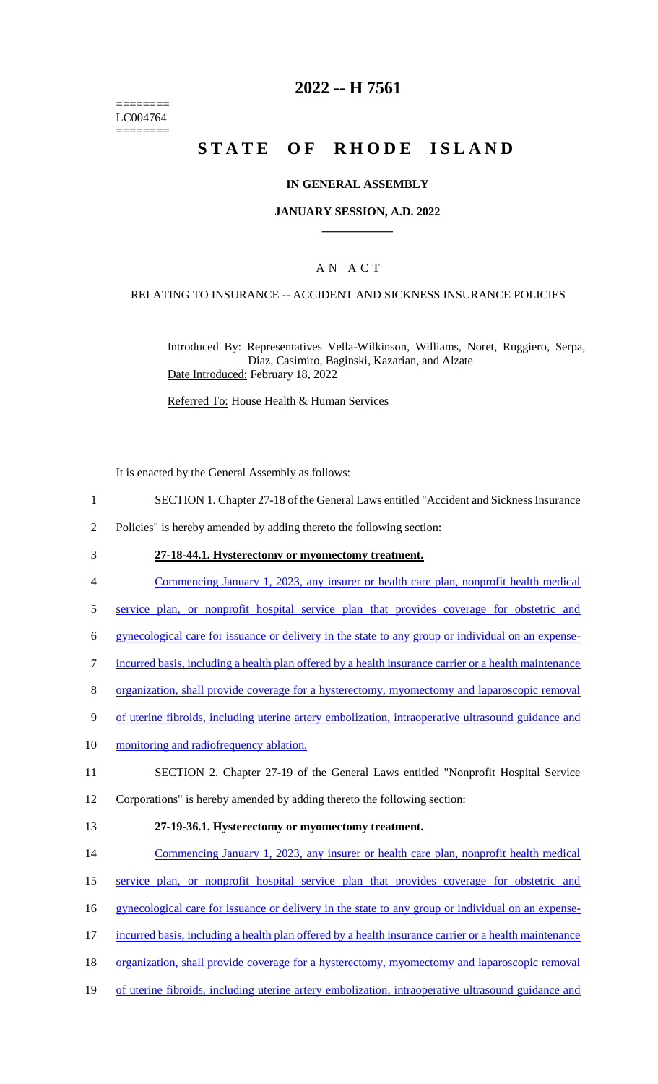======== LC004764 ========

## **2022 -- H 7561**

# **STATE OF RHODE ISLAND**

### **IN GENERAL ASSEMBLY**

### **JANUARY SESSION, A.D. 2022 \_\_\_\_\_\_\_\_\_\_\_\_**

### A N A C T

## RELATING TO INSURANCE -- ACCIDENT AND SICKNESS INSURANCE POLICIES

Introduced By: Representatives Vella-Wilkinson, Williams, Noret, Ruggiero, Serpa, Diaz, Casimiro, Baginski, Kazarian, and Alzate Date Introduced: February 18, 2022

Referred To: House Health & Human Services

It is enacted by the General Assembly as follows:

- 1 SECTION 1. Chapter 27-18 of the General Laws entitled "Accident and Sickness Insurance
- 2 Policies" is hereby amended by adding thereto the following section:
- 3 **27-18-44.1. Hysterectomy or myomectomy treatment.**
- 4 Commencing January 1, 2023, any insurer or health care plan, nonprofit health medical
- 5 service plan, or nonprofit hospital service plan that provides coverage for obstetric and
- 6 gynecological care for issuance or delivery in the state to any group or individual on an expense-
- 7 incurred basis, including a health plan offered by a health insurance carrier or a health maintenance
- 8 organization, shall provide coverage for a hysterectomy, myomectomy and laparoscopic removal
- 9 of uterine fibroids, including uterine artery embolization, intraoperative ultrasound guidance and
- 10 monitoring and radiofrequency ablation.
- 11 SECTION 2. Chapter 27-19 of the General Laws entitled "Nonprofit Hospital Service
- 12 Corporations" is hereby amended by adding thereto the following section:
- 
- 13 **27-19-36.1. Hysterectomy or myomectomy treatment.**
- 14 Commencing January 1, 2023, any insurer or health care plan, nonprofit health medical
- 15 service plan, or nonprofit hospital service plan that provides coverage for obstetric and
- 16 gynecological care for issuance or delivery in the state to any group or individual on an expense-
- 17 incurred basis, including a health plan offered by a health insurance carrier or a health maintenance
- 18 organization, shall provide coverage for a hysterectomy, myomectomy and laparoscopic removal
- 19 of uterine fibroids, including uterine artery embolization, intraoperative ultrasound guidance and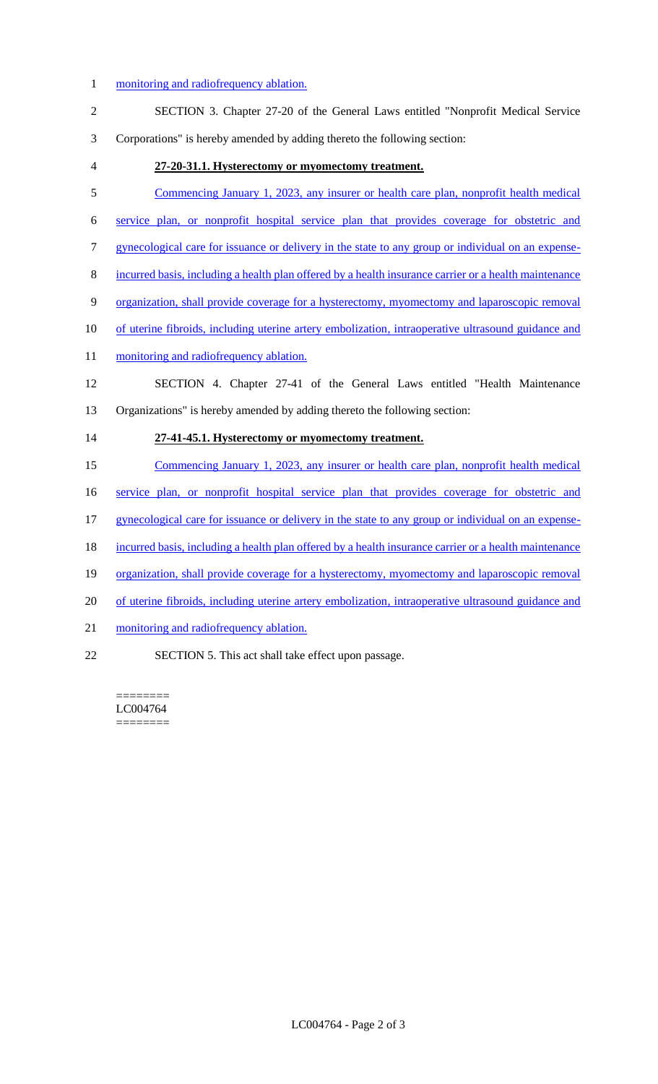## 1 monitoring and radiofrequency ablation.

| T,             | <u>Inonitoring and radioffequency abiation.</u>                                                       |
|----------------|-------------------------------------------------------------------------------------------------------|
| $\sqrt{2}$     | SECTION 3. Chapter 27-20 of the General Laws entitled "Nonprofit Medical Service                      |
| 3              | Corporations" is hereby amended by adding thereto the following section:                              |
| $\overline{4}$ | 27-20-31.1. Hysterectomy or myomectomy treatment.                                                     |
| 5              | Commencing January 1, 2023, any insurer or health care plan, nonprofit health medical                 |
| 6              | service plan, or nonprofit hospital service plan that provides coverage for obstetric and             |
| $\tau$         | gynecological care for issuance or delivery in the state to any group or individual on an expense-    |
| $8\,$          | incurred basis, including a health plan offered by a health insurance carrier or a health maintenance |
| 9              | organization, shall provide coverage for a hysterectomy, myomectomy and laparoscopic removal          |
| 10             | of uterine fibroids, including uterine artery embolization, intraoperative ultrasound guidance and    |
| 11             | monitoring and radiofrequency ablation.                                                               |
| 12             | SECTION 4. Chapter 27-41 of the General Laws entitled "Health Maintenance                             |
|                |                                                                                                       |
| 13             | Organizations" is hereby amended by adding thereto the following section:                             |
| 14             | 27-41-45.1. Hysterectomy or myomectomy treatment.                                                     |
| 15             | Commencing January 1, 2023, any insurer or health care plan, nonprofit health medical                 |
| 16             | service plan, or nonprofit hospital service plan that provides coverage for obstetric and             |
| 17             | gynecological care for issuance or delivery in the state to any group or individual on an expense-    |
| 18             | incurred basis, including a health plan offered by a health insurance carrier or a health maintenance |
| 19             | organization, shall provide coverage for a hysterectomy, myomectomy and laparoscopic removal          |
| 20             | of uterine fibroids, including uterine artery embolization, intraoperative ultrasound guidance and    |
| 21             | monitoring and radiofrequency ablation.                                                               |
| 22             | SECTION 5. This act shall take effect upon passage.                                                   |

LC004764  $=$